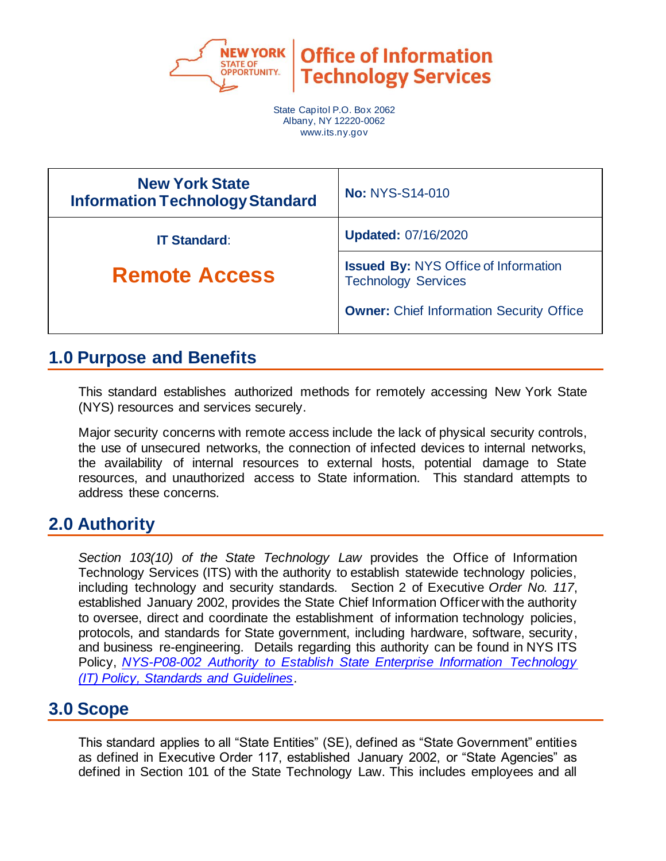

**Office of Information Technology Services** 

State Capitol P.O. Box 2062 Albany, NY 12220-0062 www.its.ny.gov

| <b>New York State</b><br><b>Information Technology Standard</b> | <b>No: NYS-S14-010</b>                                                    |  |
|-----------------------------------------------------------------|---------------------------------------------------------------------------|--|
| <b>IT Standard:</b>                                             | <b>Updated: 07/16/2020</b>                                                |  |
| <b>Remote Access</b>                                            | <b>Issued By: NYS Office of Information</b><br><b>Technology Services</b> |  |
|                                                                 | <b>Owner:</b> Chief Information Security Office                           |  |

# **1.0 Purpose and Benefits**

This standard establishes authorized methods for remotely accessing New York State (NYS) resources and services securely.

Major security concerns with remote access include the lack of physical security controls, the use of unsecured networks, the connection of infected devices to internal networks, the availability of internal resources to external hosts, potential damage to State resources, and unauthorized access to State information. This standard attempts to address these concerns.

# **2.0 Authority**

*Section 103(10) of the State Technology Law* provides the Office of Information Technology Services (ITS) with the authority to establish statewide technology policies, including technology and security standards. Section 2 of Executive *Order No. 117*, established January 2002, provides the State Chief Information Officer with the authority to oversee, direct and coordinate the establishment of information technology policies, protocols, and standards for State government, including hardware, software, security, and business re-engineering. Details regarding this authority can be found in NYS ITS Policy, *[NYS-P08-002 Authority to Establish State Enterprise Information Technology](https://its.ny.gov/document/authority-establish-state-enterprise-information-technology-it-policy-standards-and-guidelines)  [\(IT\) Policy, Standards and Guidelines](https://its.ny.gov/document/authority-establish-state-enterprise-information-technology-it-policy-standards-and-guidelines)*.

# **3.0 Scope**

This standard applies to all "State Entities" (SE), defined as "State Government" entities as defined in Executive Order 117, established January 2002, or "State Agencies" as defined in Section 101 of the State Technology Law. This includes employees and all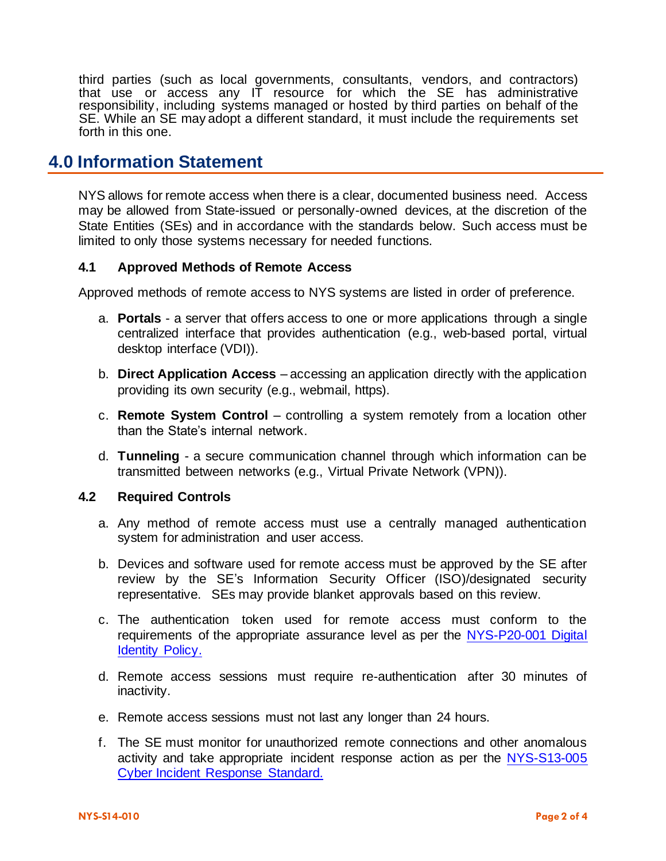third parties (such as local governments, consultants, vendors, and contractors) that use or access any IT resource for which the SE has administrative responsibility, including systems managed or hosted by third parties on behalf of the SE. While an SE may adopt a different standard, it must include the requirements set forth in this one.

#### **4.0 Information Statement**

NYS allows for remote access when there is a clear, documented business need. Access may be allowed from State-issued or personally-owned devices, at the discretion of the State Entities (SEs) and in accordance with the standards below. Such access must be limited to only those systems necessary for needed functions.

#### **4.1 Approved Methods of Remote Access**

Approved methods of remote access to NYS systems are listed in order of preference.

- a. **Portals** a server that offers access to one or more applications through a single centralized interface that provides authentication (e.g., web-based portal, virtual desktop interface (VDI)).
- b. **Direct Application Access** accessing an application directly with the application providing its own security (e.g., webmail, https).
- c. **Remote System Control** controlling a system remotely from a location other than the State's internal network.
- d. **Tunneling** a secure communication channel through which information can be transmitted between networks (e.g., Virtual Private Network (VPN)).

#### **4.2 Required Controls**

- a. Any method of remote access must use a centrally managed authentication system for administration and user access.
- b. Devices and software used for remote access must be approved by the SE after review by the SE's Information Security Officer (ISO)/designated security representative. SEs may provide blanket approvals based on this review.
- c. The authentication token used for remote access must conform to the requirements of the appropriate assurance level as per the [NYS-P20-001](https://its.ny.gov/document/digital-identity-policy) Digital [Identity Policy.](https://its.ny.gov/document/digital-identity-policy)
- d. Remote access sessions must require re-authentication after 30 minutes of inactivity.
- e. Remote access sessions must not last any longer than 24 hours.
- f. The SE must monitor for unauthorized remote connections and other anomalous activity and take appropriate incident response action as per the [NYS-S13-005](https://its.ny.gov/document/cyber-incident-response-standard) [Cyber Incident Response Standard.](https://its.ny.gov/document/cyber-incident-response-standard)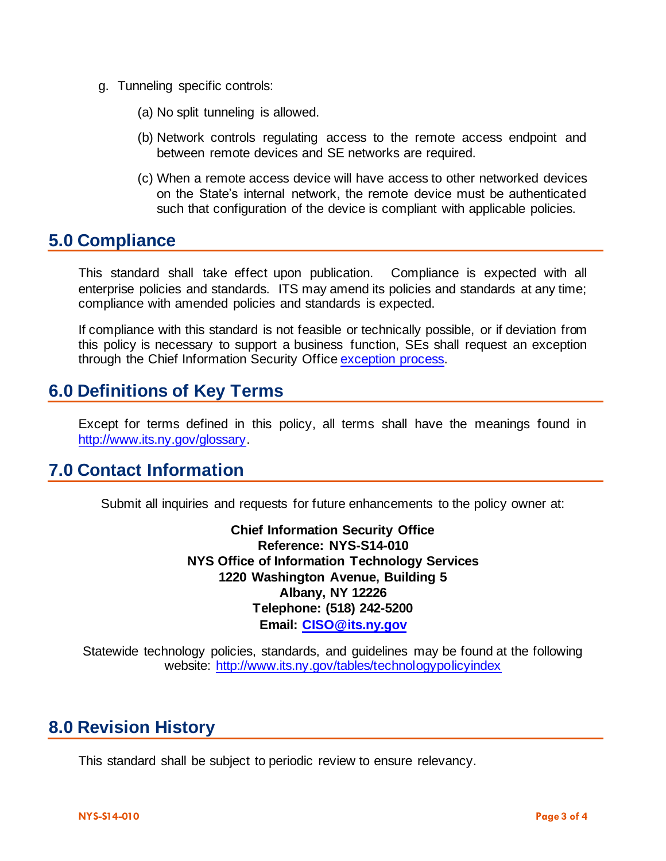- g. Tunneling specific controls:
	- (a) No split tunneling is allowed.
	- (b) Network controls regulating access to the remote access endpoint and between remote devices and SE networks are required.
	- (c) When a remote access device will have access to other networked devices on the State's internal network, the remote device must be authenticated such that configuration of the device is compliant with applicable policies.

#### **5.0 Compliance**

This standard shall take effect upon publication. Compliance is expected with all enterprise policies and standards. ITS may amend its policies and standards at any time; compliance with amended policies and standards is expected.

If compliance with this standard is not feasible or technically possible, or if deviation from this policy is necessary to support a business function, SEs shall request an exception through the Chief Information Security Offic[e exception process.](http://www.its.ny.gov/document/information-security-exception-policy)

### **6.0 Definitions of Key Terms**

Except for terms defined in this policy, all terms shall have the meanings found in [http://www.its.ny.gov/glossary.](http://www.its.ny.gov/glossary)

### **7.0 Contact Information**

Submit all inquiries and requests for future enhancements to the policy owner at:

**Chief Information Security Office Reference: NYS-S14-010 NYS Office of Information Technology Services 1220 Washington Avenue, Building 5 Albany, NY 12226 Telephone: (518) 242-5200 Email: [CISO@its.ny.gov](mailto:EISO@its.ny.gov)**

Statewide technology policies, standards, and guidelines may be found at the following website: <http://www.its.ny.gov/tables/technologypolicyindex>

# **8.0 Revision History**

This standard shall be subject to periodic review to ensure relevancy.